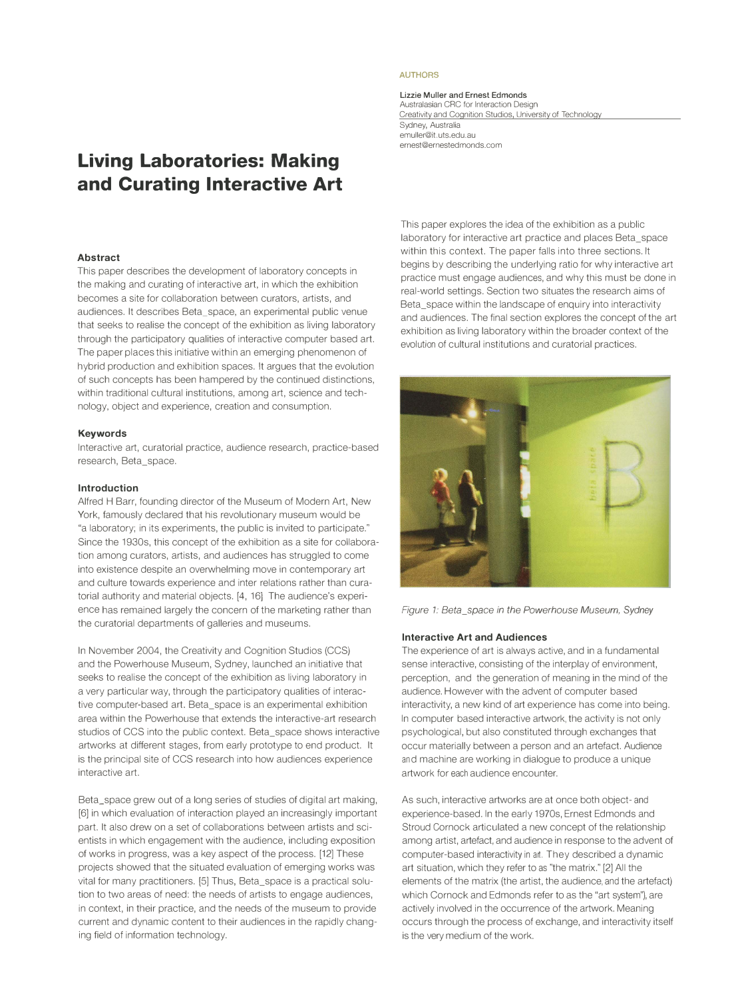# **Living Laboratories: Making and Curating Interactive Art**

#### **Abstract**

This paper describes the development of laboratory concepts in the making and curating of interactive art, in which the exhibition becomes a site for collaboration between curators, artists, and audiences. It describes Beta\_space, an experimental public venue that seeks to realise the concept of the exhibition as living laboratory through the participatory qualities of interactive computer based art. The paper places this initiative within an emerging phenomenon of hybrid production and exhibition spaces. It argues that the evolution of such concepts has been hampered by the continued distinctions, within traditional cultural institutions, among art, science and technology, object and experience, creation and consumption.

# **Keywords**

Interactive art, curatorial practice, audience research, practice-based research, Beta\_space.

#### **Introduction**

Alfred H Barr, founding director of the Museum of Modern Art, New York, famously declared that his revolutionary museum would be "a laboratory; in its experiments, the public is invited to participate." Since the 1930s, this concept of the exhibition as a site for collaboration among curators, artists, and audiences has struggled to come into existence despite an overwhelming move in contemporary art and culture towards experience and inter relations rather than curatorial authority and material objects. [4, 16] The audience's experience has remained largely the concern of the marketing rather than the curatorial departments of galleries and museums.

In November 2004, the Creativity and Cognition Studios (CCS) and the Powerhouse Museum, Sydney, launched an initiative that seeks to realise the concept of the exhibition as living laboratory in a very particular way, through the participatory qualities of interactive computer-based art. Beta\_space is an experimental exhibition area within the Powerhouse that extends the interactive-art research studios of CCS into the public context. Beta\_space shows interactive artworks at different stages, from early prototype to end product. It is the principal site of CCS research into how audiences experience interactive art.

Beta\_space grew out of a long series of studies of digital art making, [6] in which evaluation of interaction played an increasingly important part. It also drew on a set of collaborations between artists and scientists in which engagement with the audience, including exposition of works in progress, was a key aspect of the process. [12] These projects showed that the situated evaluation of emerging works was vital for many practitioners. [5] Thus, Beta\_space is a practical solution to two areas of need: the needs of artists to engage audiences, in context, in their practice, and the needs of the museum to provide current and dynamic content to their audiences in the rapidly changing field of information technology.

# **AUTHORS**

**Lizzie Muller and Ernest Edmonds**  Australasian CRC for Interaction Design Creativity and Cognition Studios, University of Technology Sydney, Australia emuller@it.uts.edu.au

ernest@ernestedmonds.com

This paper explores the idea of the exhibition as a public laboratory for interactive art practice and places Beta\_space within this context. The paper falls into three sections. It begins by describing the underlying ratio for why interactive art practice must engage audiences, and why this must be done in real-world settings. Section two situates the research aims of Beta space within the landscape of enquiry into interactivity and audiences. The final section explores the concept of the art exhibition as living laboratory within the broader context of the evolution of cultural institutions and curatorial practices.



*Figure 1: Beta\_space in the Powerhouse Museum, Sydney* 

#### **Interactive Art and Audiences**

The experience of art is always active, and in a fundamental sense interactive, consisting of the interplay of environment, perception, and the generation of meaning in the mind of the audience. However with the advent of computer-based interactivity, a new kind of art experience has come into being. In computer-based interactive artwork, the activity is not only psychological, but also constituted through exchanges that occur materially between a person and an artefact. Audience and machine are working in dialogue to produce a unique artwork for each audience encounter.

As such, interactive artworks are at once both object- and experience-based. In the early 1970s, Ernest Edmonds and Stroud Cornock articulated a new concept of the relationship among artist, artefact, and audience in response to the advent of computer-based interactivity in art. They described a dynamic art situation, which they refer to as "the matrix." [2] All the elements of the matrix (the artist, the audience, and the artefact) which Cornock and Edmonds refer to as the "art system"), are actively involved in the occurrence of the artwork. Meaning occurs through the process of exchange, and interactivity itself is the very medium of the work.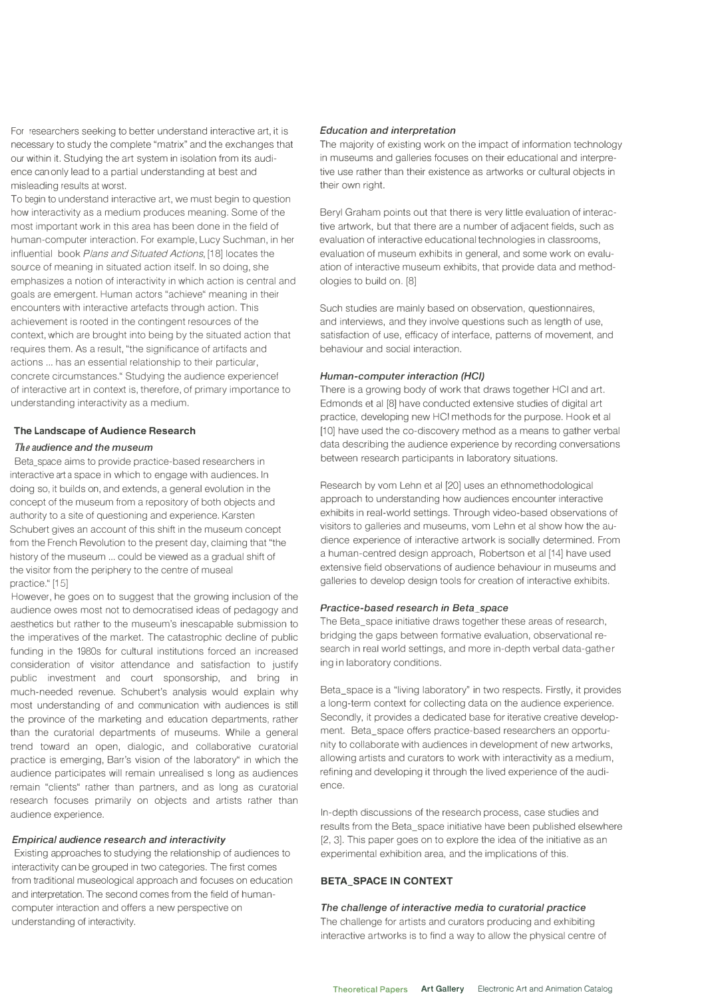For researchers seeking to better understand interactive art, it is necessary to study the complete "matrix" and the exchanges that our within it. Studying the art system in isolation from its audience can only lead to a partial understanding at best and misleading results at worst.

To begin to understand interactive art, we must begin to question how interactivity as a medium produces meaning. Some of the most important work in this area has been done in the field of human-computer interaction. For example, Lucy Suchman, in her influential book *P*lans and Situated Actions, [18] locates the source of meaning in situated action itself. In so doing, she emphasizes a notion of interactivity in which action is central and goals are emergent. Human actors "achieve" meaning in their encounters with interactive artefacts through action. This achievement is rooted in the contingent resources of the context, which are brought into being by the situated action that requires them. As a result, "the significance of artifacts and actions ... has an essential relationship to their particular, concrete circumstances." Studying the audience experience! of interactive art in context is, therefore, of primary importance to understanding interactivity as a medium.

#### **The Landscape of Audience Research**

#### *Th***<sup>e</sup>** *audience and the museum*

Beta\_space aims to provide practice-based researchers in interactive art a space in which to engage with audiences. In doing so, it builds on, and extends, a general evolution in the concept of the museum from a repository of both objects and authority to a site of questioning and experience. Karsten Schubert gives an account of this shift in the museum concept from the French Revolution to the present day, claiming that "the history of the museum ... could be viewed as a gradual shift of the visitor from the periphery to the centre of museal practice." [15]

However, he goes on to suggest that the growing inclusion of the audience owes most not to democratised ideas of pedagogy and aesthetics but rather to the museum's inescapable submission to the imperatives of the market. The catastrophic decline of public funding in the 1980s for cultural institutions forced an increased consideration of visitor attendance and satisfaction to justify public investment and court sponsorship, and bring in much-needed revenue. Schubert's analysis would explain why most understanding of and communication with audiences is still the province of the marketing and education departments, rather than the curatorial departments of museums. While a general trend toward an open, dialogic, and collaborative curatorial practice is emerging, Barr's vision of the laboratory" in which the audience participates will remain unrealised s long as audiences remain "clients" rather than partners, and as long as curatorial research focuses primarily on objects and artists rather than audience experience.

### *Empirical audience research and interactivity*

Existing approaches to studying the relationship of audiences to interactivity can be grouped in two categories. The first comes from traditional museological approach and focuses on education and interpretation. The second comes from the field of humancomputer interaction and offers a new perspective on understanding of interactivity.

#### *Education and interpretation*

The majority of existing work on the impact of information technology in museums and galleries focuses on their educational and interpretive use rather than their existence as artworks or cultural objects in their own right.

Beryl Graham points out that there is very little evaluation of interactive artwork, but that there are a number of adjacent fields, such as evaluation of interactive educational technologies in classrooms, evaluation of museum exhibits in general, and some work on evaluation of interactive museum exhibits, that provide data and methodologies to build on. [8]

Such studies are mainly based on observation, questionnaires, and interviews, and they involve questions such as length of use, satisfaction of use, efficacy of interface, patterns of movement, and behaviour and social interaction.

# *Human-computer interaction (HCI)*

There is a growing body of work that draws together HCI and art. Edmonds et al [8] have conducted extensive studies of digital art practice, developing new HCI methods for the purpose. Hook et al [10] have used the co-discovery method as a means to gather verbal data describing the audience experience by recording conversations between research participants in laboratory situations.

Research by vom Lehn et al [20] uses an ethnomethodological approach to understanding how audiences encounter interactive exhibits in real-world settings. Through video-based observations of visitors to galleries and museums, vom Lehn et al show how the audience experience of interactive artwork is socially determined. From a human-centred design approach, Robertson et al [14] have used extensive field observations of audience behaviour in museums and galleries to develop design tools for creation of interactive exhibits.

#### *Practice-based research in Beta\_space*

The Beta\_space initiative draws together these areas of research, bridging the gaps between formative evaluation, observational research in real world settings, and more in-depth verbal data-gathering in laboratory conditions.

Beta\_space is a "living laboratory" in two respects. Firstly, it provides a long-term context for collecting data on the audience experience. Secondly, it provides a dedicated base for iterative creative development. Beta\_space offers practice-based researchers an opportunity to collaborate with audiences in development of new artworks, allowing artists and curators to work with interactivity as a medium, refining and developing it through the lived experience of the audience.

In-depth discussions of the research process, case studies and results from the Beta\_space initiative have been published elsewhere [2, 3]. This paper goes on to explore the idea of the initiative as an experimental exhibition area, and the implications of this.

# **BETA\_SPACE IN CONTEXT**

*The challenge of interactive media to curatorial practice*  The challenge for artists and curators producing and exhibiting interactive artworks is to find a way to allow the physical centre of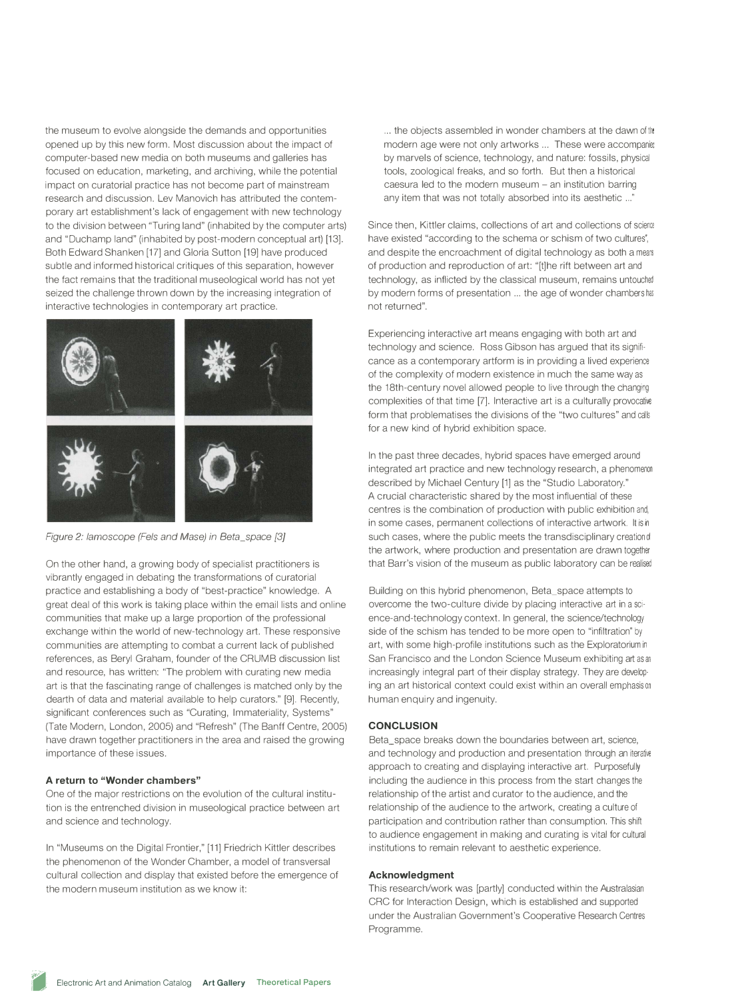the museum to evolve alongside the demands and opportunities opened up by this new form. Most discussion about the impact of computer-based new media on both museums and galleries has focused on education, marketing, and archiving, while the potential impact on curatorial practice has not become part of mainstream research and discussion. Lev Manovich has attributed the contemporary art establishment's lack of engagement with new technology to the division between "Turing land" (inhabited by the computer arts) and "Duchamp land" (inhabited by post-modern conceptual art) [13]. Both Edward Shanken [17] and Gloria Sutton [19] have produced subtle and informed historical critiques of this separation, however the fact remains that the traditional museological world has not yet seized the challenge thrown down by the increasing integration of interactive technologies in contemporary art practice.



*Figure 2: lamoscope (Fels and Mase) in Beta\_space [3]* 

On the other hand, a growing body of specialist practitioners is vibrantly engaged in debating the transformations of curatorial practice and establishing a body of "best-practice" knowledge. A great deal of this work is taking place within the email lists and online communities that make up a large proportion of the professional exchange within the world of new-technology art. These responsive communities are attempting to combat a current lack of published references, as Beryl Graham, founder of the CRUMB discussion list and resource, has written: "The problem with curating new media art is that the fascinating range of challenges is matched only by the dearth of data and material available to help curators." [9]. Recently, significant conferences such as "Curating, Immateriality, Systems" (Tate Modern, London, 2005) and "Refresh" (The Banff Centre, 2005) have drawn together practitioners in the area and raised the growing importance of these issues.

# **A return to "Wonder chambers"**

One of the major restrictions on the evolution of the cultural institution is the entrenched division in museological practice between art and science and technology.

In "Museums on the Digital Frontier," [11] Friedrich Kittler describes the phenomenon of the Wonder Chamber, a model of transversal cultural collection and display that existed before the emergence of the modern museum institution as we know it:

... the objects assembled in wonder chambers at the dawn of the modern age were not only artworks ... These were accompanie: by marvels of science, technology, and nature: fossils, physical tools, zoological freaks, and so forth. But then a historical caesura led to the modern museum - an institution barring any item that was not totally absorbed into its aesthetic ... "

Since then, Kittler claims, collections of art and collections of science have existed "according to the schema or schism of two cultures', and despite the encroachment of digital technology as both a mean of production and reproduction of art: "[t]he rift between art and technology, as inflicted by the classical museum, remains untouched by modern forms of presentation ... the age of wonder chambers has not returned".

Experiencing interactive art means engaging with both art and technology and science. Ross Gibson has argued that its significance as a contemporary artform is in providing a lived experience of the complexity of modern existence in much the same way as the 18th-century novel allowed people to live through the changing complexities of that time [7]. Interactive art is a culturally provocative form that problematises the divisions of the "two cultures" and calls for a new kind of hybrid exhibition space.

In the past three decades, hybrid spaces have emerged around integrated art practice and new technology research, a phenomenon described by Michael Century [1] as the "Studio Laboratory." A crucial characteristic shared by the most influential of these centres is the combination of production with public exhibition and, in some cases, permanent collections of interactive artwork. It is in such cases, where the public meets the transdisciplinary creation of the artwork, where production and presentation are drawn together. that Barr's vision of the museum as public laboratory can be realised

Building on this hybrid phenomenon, Beta\_space attempts to overcome the two-culture divide by placing interactive art in a science-and-technology context. In general, the science/technology side of the schism has tended to be more open to "infiltration" by art, with some high-profile institutions such as the Exploratorium in San Francisco and the London Science Museum exhibiting art as an increasingly integral part of their display strategy. They are developing an art historical context could exist within an overall emphasis on human enquiry and ingenuity.

# **CONCLUSION**

Beta\_space breaks down the boundaries between art, science, and technology and production and presentation through an iterative approach to creating and displaying interactive art. Purposefully including the audience in this process from the start changes the relationship of the artist and curator to the audience, and the relationship of the audience to the artwork, creating a culture of participation and contribution rather than consumption. This shift to audience engagement in making and curating is vital for cultural institutions to remain relevant to aesthetic experience.

#### **Acknowledgment**

This research/work was [partly] conducted within the Australasian CRC for Interaction Design, which is established and supported under the Australian Government's Cooperative Research Centres Programme.